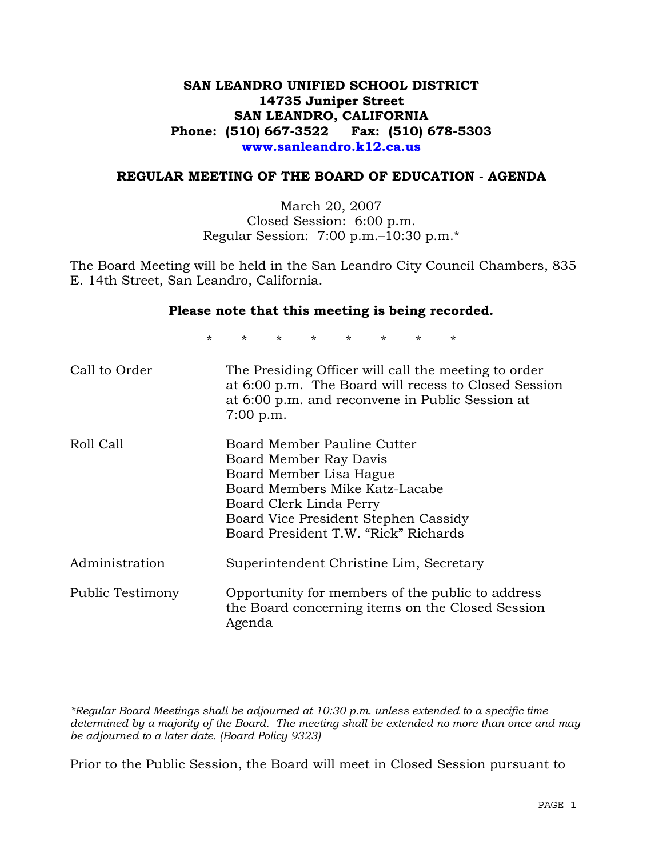# **SAN LEANDRO UNIFIED SCHOOL DISTRICT 14735 Juniper Street SAN LEANDRO, CALIFORNIA Phone: (510) 667-3522 Fax: (510) 678-5303 www.sanleandro.k12.ca.us**

## **REGULAR MEETING OF THE BOARD OF EDUCATION - AGENDA**

March 20, 2007 Closed Session: 6:00 p.m. Regular Session: 7:00 p.m.–10:30 p.m.\*

The Board Meeting will be held in the San Leandro City Council Chambers, 835 E. 14th Street, San Leandro, California.

### **Please note that this meeting is being recorded.**

\* \* \* \* \* \* \* \*

| Call to Order    | The Presiding Officer will call the meeting to order<br>at 6:00 p.m. The Board will recess to Closed Session<br>at 6:00 p.m. and reconvene in Public Session at<br>7:00 p.m.                                                  |
|------------------|-------------------------------------------------------------------------------------------------------------------------------------------------------------------------------------------------------------------------------|
| Roll Call        | Board Member Pauline Cutter<br>Board Member Ray Davis<br>Board Member Lisa Hague<br>Board Members Mike Katz-Lacabe<br>Board Clerk Linda Perry<br>Board Vice President Stephen Cassidy<br>Board President T.W. "Rick" Richards |
| Administration   | Superintendent Christine Lim, Secretary                                                                                                                                                                                       |
| Public Testimony | Opportunity for members of the public to address<br>the Board concerning items on the Closed Session<br>Agenda                                                                                                                |

*\*Regular Board Meetings shall be adjourned at 10:30 p.m. unless extended to a specific time determined by a majority of the Board. The meeting shall be extended no more than once and may be adjourned to a later date. (Board Policy 9323)* 

Prior to the Public Session, the Board will meet in Closed Session pursuant to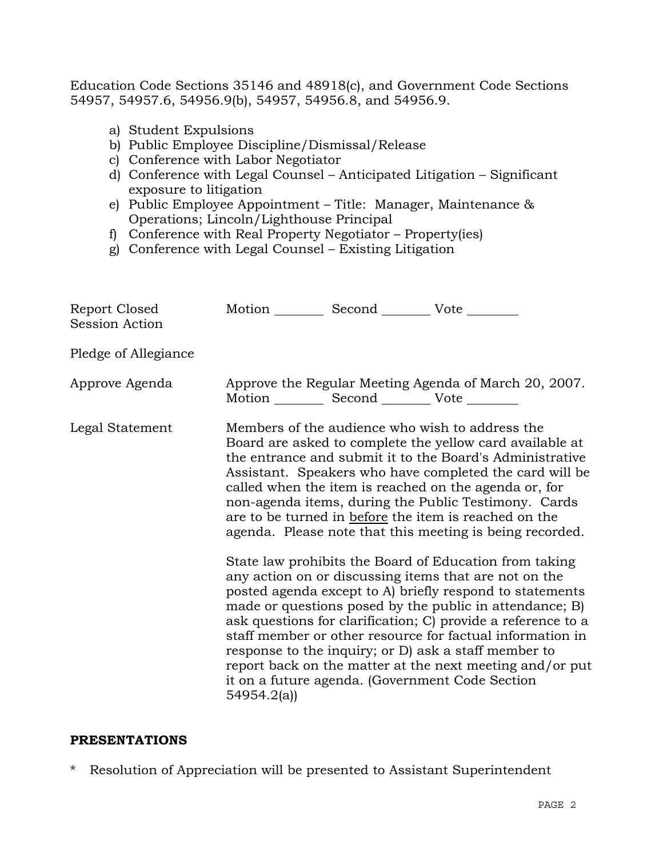Education Code Sections 35146 and 48918(c), and Government Code Sections 54957, 54957.6, 54956.9(b), 54957, 54956.8, and 54956.9.

- a) Student Expulsions
- b) Public Employee Discipline/Dismissal/Release
- c) Conference with Labor Negotiator
- d) Conference with Legal Counsel Anticipated Litigation Significant exposure to litigation
- e) Public Employee Appointment Title: Manager, Maintenance & Operations; Lincoln/Lighthouse Principal
- f) Conference with Real Property Negotiator Property(ies)
- g) Conference with Legal Counsel Existing Litigation

| Report Closed<br><b>Session Action</b> | Motion __________ Second __________ Vote ________ |                                                   |                                                                                                                                                                                                                                                                                                                                                                                                                                                                                                                                                                                                                                                                                                                                                                                                                                                                                                                                                                                                                        |
|----------------------------------------|---------------------------------------------------|---------------------------------------------------|------------------------------------------------------------------------------------------------------------------------------------------------------------------------------------------------------------------------------------------------------------------------------------------------------------------------------------------------------------------------------------------------------------------------------------------------------------------------------------------------------------------------------------------------------------------------------------------------------------------------------------------------------------------------------------------------------------------------------------------------------------------------------------------------------------------------------------------------------------------------------------------------------------------------------------------------------------------------------------------------------------------------|
| Pledge of Allegiance                   |                                                   |                                                   |                                                                                                                                                                                                                                                                                                                                                                                                                                                                                                                                                                                                                                                                                                                                                                                                                                                                                                                                                                                                                        |
| Approve Agenda                         |                                                   | Motion __________ Second __________ Vote ________ | Approve the Regular Meeting Agenda of March 20, 2007.                                                                                                                                                                                                                                                                                                                                                                                                                                                                                                                                                                                                                                                                                                                                                                                                                                                                                                                                                                  |
| Legal Statement                        | 54954.2(a)                                        |                                                   | Members of the audience who wish to address the<br>Board are asked to complete the yellow card available at<br>the entrance and submit it to the Board's Administrative<br>Assistant. Speakers who have completed the card will be<br>called when the item is reached on the agenda or, for<br>non-agenda items, during the Public Testimony. Cards<br>are to be turned in before the item is reached on the<br>agenda. Please note that this meeting is being recorded.<br>State law prohibits the Board of Education from taking<br>any action on or discussing items that are not on the<br>posted agenda except to A) briefly respond to statements<br>made or questions posed by the public in attendance; B)<br>ask questions for clarification; C) provide a reference to a<br>staff member or other resource for factual information in<br>response to the inquiry; or D) ask a staff member to<br>report back on the matter at the next meeting and/or put<br>it on a future agenda. (Government Code Section |

## **PRESENTATIONS**

\* Resolution of Appreciation will be presented to Assistant Superintendent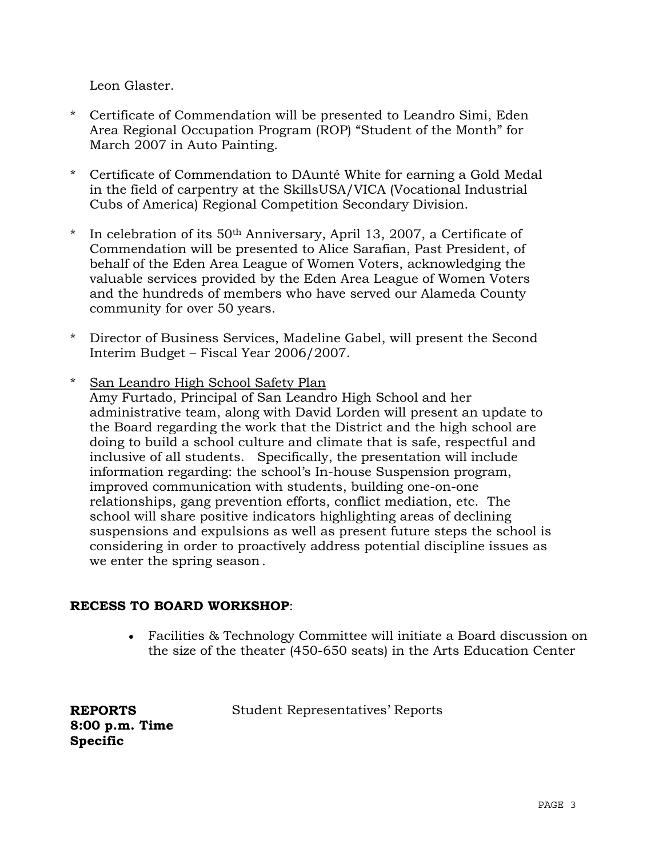Leon Glaster.

- \* Certificate of Commendation will be presented to Leandro Simi, Eden Area Regional Occupation Program (ROP) "Student of the Month" for March 2007 in Auto Painting.
- \* Certificate of Commendation to DAunté White for earning a Gold Medal in the field of carpentry at the SkillsUSA/VICA (Vocational Industrial Cubs of America) Regional Competition Secondary Division.
- \* In celebration of its 50th Anniversary, April 13, 2007, a Certificate of Commendation will be presented to Alice Sarafian, Past President, of behalf of the Eden Area League of Women Voters, acknowledging the valuable services provided by the Eden Area League of Women Voters and the hundreds of members who have served our Alameda County community for over 50 years.
- \* Director of Business Services, Madeline Gabel, will present the Second Interim Budget – Fiscal Year 2006/2007.
- \* San Leandro High School Safety Plan Amy Furtado, Principal of San Leandro High School and her administrative team, along with David Lorden will present an update to the Board regarding the work that the District and the high school are doing to build a school culture and climate that is safe, respectful and inclusive of all students. Specifically, the presentation will include information regarding: the school's In-house Suspension program, improved communication with students, building one-on-one relationships, gang prevention efforts, conflict mediation, etc. The school will share positive indicators highlighting areas of declining suspensions and expulsions as well as present future steps the school is considering in order to proactively address potential discipline issues as we enter the spring season.

# **RECESS TO BOARD WORKSHOP**:

• Facilities & Technology Committee will initiate a Board discussion on the size of the theater (450-650 seats) in the Arts Education Center

**REPORTS 8:00 p.m. Time Specific**

Student Representatives' Reports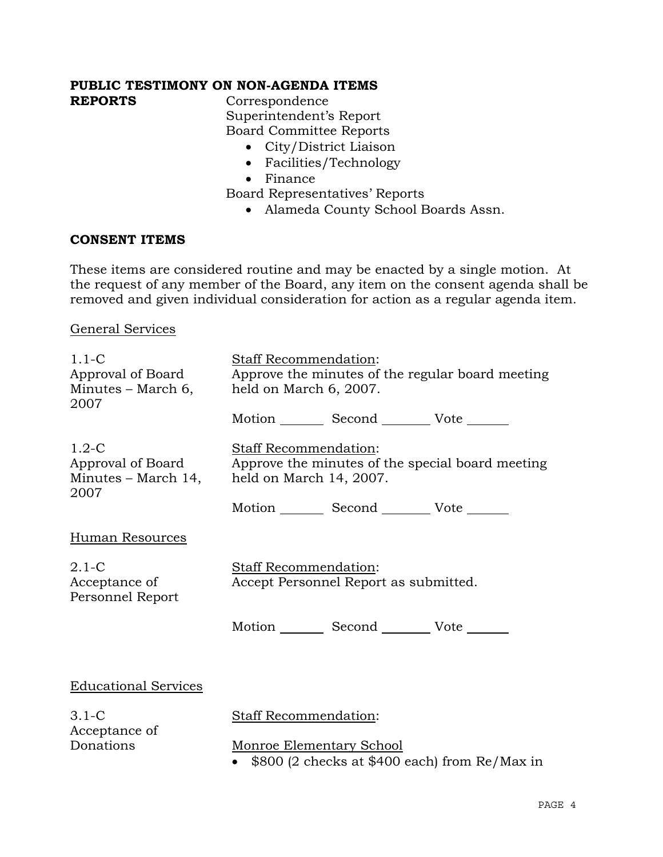# **PUBLIC TESTIMONY ON NON-AGENDA ITEMS**

**REPORTS** Correspondence Superintendent's Report Board Committee Reports

- City/District Liaison
- Facilities/Technology
- Finance

Board Representatives' Reports

• Alameda County School Boards Assn.

# **CONSENT ITEMS**

These items are considered routine and may be enacted by a single motion. At the request of any member of the Board, any item on the consent agenda shall be removed and given individual consideration for action as a regular agenda item.

General Services

| $1.1-C$<br>Approval of Board<br>Minutes – March 6,<br>2007  | <b>Staff Recommendation:</b><br>Approve the minutes of the regular board meeting<br>held on March 6, 2007. |                                                 |                                               |
|-------------------------------------------------------------|------------------------------------------------------------------------------------------------------------|-------------------------------------------------|-----------------------------------------------|
|                                                             |                                                                                                            | Motion _________ Second __________ Vote _______ |                                               |
| $1.2-C$<br>Approval of Board<br>Minutes – March 14,<br>2007 | Staff Recommendation:<br>Approve the minutes of the special board meeting<br>held on March 14, 2007.       |                                                 |                                               |
|                                                             |                                                                                                            | Motion _________ Second __________ Vote _______ |                                               |
| Human Resources                                             |                                                                                                            |                                                 |                                               |
| $2.1-C$<br>Acceptance of<br>Personnel Report                | <b>Staff Recommendation:</b><br>Accept Personnel Report as submitted.                                      |                                                 |                                               |
|                                                             |                                                                                                            | Motion Second Vote                              |                                               |
|                                                             |                                                                                                            |                                                 |                                               |
| <b>Educational Services</b>                                 |                                                                                                            |                                                 |                                               |
| $3.1 - C$<br>Acceptance of                                  | <b>Staff Recommendation:</b>                                                                               |                                                 |                                               |
| Donations                                                   | Monroe Elementary School                                                                                   |                                                 | \$800 (2 checks at \$400 each) from Re/Max in |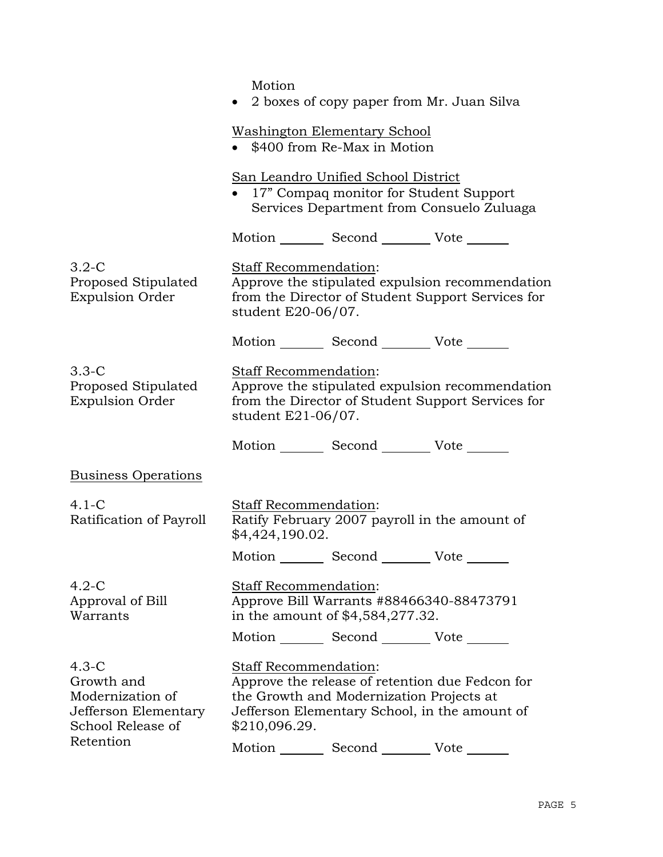$M<sub>of</sub>$ 

|                                                                                        | MOUON<br>2 boxes of copy paper from Mr. Juan Silva                                                                                                                                     |
|----------------------------------------------------------------------------------------|----------------------------------------------------------------------------------------------------------------------------------------------------------------------------------------|
|                                                                                        | <b>Washington Elementary School</b><br>• \$400 from Re-Max in Motion                                                                                                                   |
|                                                                                        | San Leandro Unified School District<br>• 17" Compaq monitor for Student Support<br>Services Department from Consuelo Zuluaga                                                           |
|                                                                                        | Motion _________ Second __________ Vote _______                                                                                                                                        |
| $3.2-C$<br>Proposed Stipulated<br><b>Expulsion Order</b>                               | <b>Staff Recommendation:</b><br>Approve the stipulated expulsion recommendation<br>from the Director of Student Support Services for<br>student E20-06/07.                             |
|                                                                                        | Motion _________ Second __________ Vote _______                                                                                                                                        |
| $3.3-C$<br>Proposed Stipulated<br><b>Expulsion Order</b>                               | Staff Recommendation:<br>Approve the stipulated expulsion recommendation<br>from the Director of Student Support Services for<br>student $E21-06/07$ .                                 |
|                                                                                        | Motion _________ Second _________ Vote _______                                                                                                                                         |
| <b>Business Operations</b>                                                             |                                                                                                                                                                                        |
| $4.1-C$<br>Ratification of Payroll                                                     | Staff Recommendation:<br>Ratify February 2007 payroll in the amount of<br>\$4,424,190.02.                                                                                              |
|                                                                                        | Motion _________ Second __________ Vote _______                                                                                                                                        |
| $4.2-C$<br>Approval of Bill<br>Warrants                                                | Staff Recommendation:<br>Approve Bill Warrants #88466340-88473791<br>in the amount of \$4,584,277.32.                                                                                  |
|                                                                                        | Motion _________ Second __________ Vote _______                                                                                                                                        |
| $4.3-C$<br>Growth and<br>Modernization of<br>Jefferson Elementary<br>School Release of | Staff Recommendation:<br>Approve the release of retention due Fedcon for<br>the Growth and Modernization Projects at<br>Jefferson Elementary School, in the amount of<br>\$210,096.29. |
| Retention                                                                              | Second<br>Motion<br>Vote                                                                                                                                                               |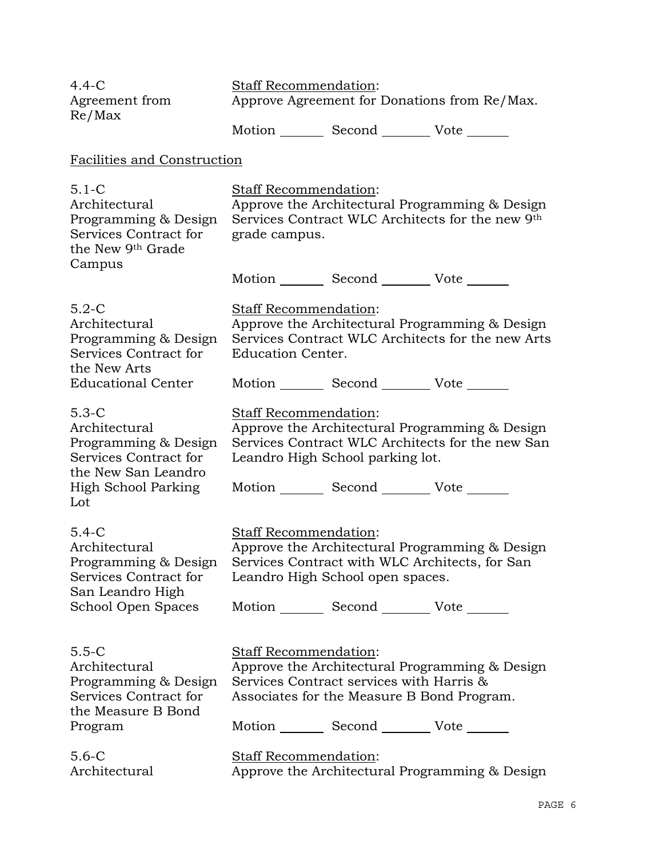| $4.4-C$<br>Agreement from<br>Re/Max                                                                                                                                                                                                                             | <b>Staff Recommendation:</b><br>Approve Agreement for Donations from Re/Max.<br>Motion _________ Second __________ Vote _______                                                                                      |
|-----------------------------------------------------------------------------------------------------------------------------------------------------------------------------------------------------------------------------------------------------------------|----------------------------------------------------------------------------------------------------------------------------------------------------------------------------------------------------------------------|
| Facilities and Construction                                                                                                                                                                                                                                     |                                                                                                                                                                                                                      |
| $5.1 - C$<br>Architectural<br>Programming & Design<br>Services Contract for<br>the New 9th Grade                                                                                                                                                                | Staff Recommendation:<br>Approve the Architectural Programming & Design<br>Services Contract WLC Architects for the new 9th<br>grade campus.                                                                         |
| Campus                                                                                                                                                                                                                                                          | Motion _________ Second _________ Vote _______                                                                                                                                                                       |
| $5.2-C$<br>Architectural<br>Programming & Design<br>Services Contract for<br>the New Arts<br><b>Educational Center</b><br>$5.3-C$<br>Architectural<br>Programming & Design<br>Services Contract for<br>the New San Leandro<br><b>High School Parking</b><br>Lot | Staff Recommendation:<br>Approve the Architectural Programming & Design<br>Services Contract WLC Architects for the new Arts<br><b>Education Center.</b>                                                             |
|                                                                                                                                                                                                                                                                 | Motion _________ Second __________ Vote _______                                                                                                                                                                      |
|                                                                                                                                                                                                                                                                 | Staff Recommendation:<br>Approve the Architectural Programming & Design<br>Services Contract WLC Architects for the new San<br>Leandro High School parking lot.<br>Motion _________ Second __________ Vote _______   |
| $5.4-C$<br>Architectural<br>Programming & Design<br>Services Contract for<br>San Leandro High<br>School Open Spaces                                                                                                                                             | Staff Recommendation:<br>Approve the Architectural Programming & Design<br>Services Contract with WLC Architects, for San<br>Leandro High School open spaces.<br>Motion _________ Second _________ Vote _______      |
| $5.5 - C$<br>Architectural<br>Programming & Design<br>Services Contract for<br>the Measure B Bond<br>Program                                                                                                                                                    | Staff Recommendation:<br>Approve the Architectural Programming & Design<br>Services Contract services with Harris &<br>Associates for the Measure B Bond Program.<br>Motion _________ Second __________ Vote _______ |
| $5.6-C$<br>Architectural                                                                                                                                                                                                                                        | Staff Recommendation:<br>Approve the Architectural Programming & Design                                                                                                                                              |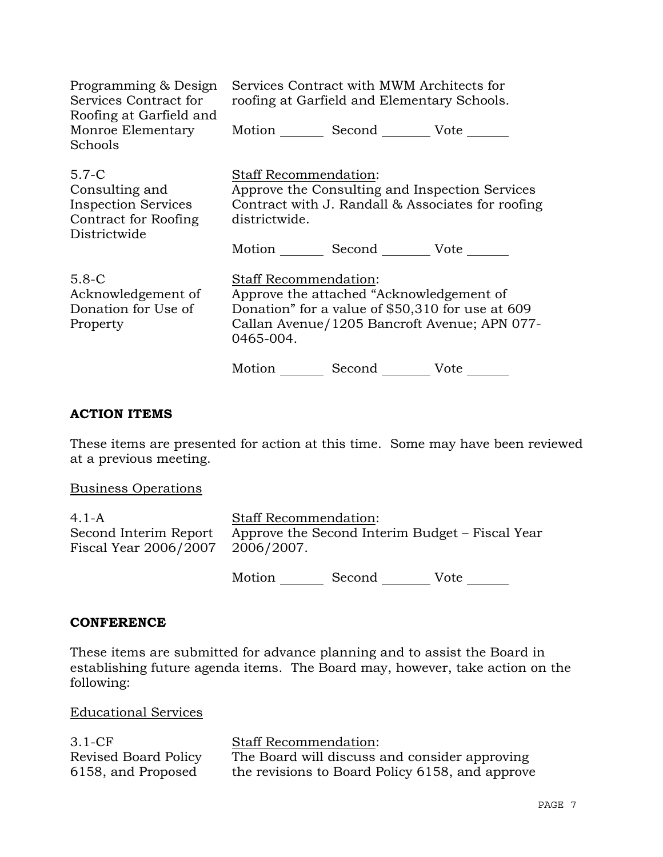| Programming & Design<br>Services Contract for<br>Roofing at Garfield and                          | Services Contract with MWM Architects for<br>roofing at Garfield and Elementary Schools. |                                          |                                                                                                     |
|---------------------------------------------------------------------------------------------------|------------------------------------------------------------------------------------------|------------------------------------------|-----------------------------------------------------------------------------------------------------|
| Monroe Elementary<br>Schools                                                                      |                                                                                          | Motion Second Vote                       |                                                                                                     |
| $5.7 - C$<br>Consulting and<br><b>Inspection Services</b><br>Contract for Roofing<br>Districtwide | <b>Staff Recommendation:</b><br>districtwide.                                            |                                          | Approve the Consulting and Inspection Services<br>Contract with J. Randall & Associates for roofing |
|                                                                                                   |                                                                                          | Motion Second Vote                       |                                                                                                     |
| $5.8 - C$<br>Acknowledgement of<br>Donation for Use of<br>Property                                | <b>Staff Recommendation:</b><br>0465-004.                                                | Approve the attached "Acknowledgement of | Donation" for a value of \$50,310 for use at 609<br>Callan Avenue/1205 Bancroft Avenue; APN 077-    |
|                                                                                                   | Motion                                                                                   | Second                                   | Vote                                                                                                |

# **ACTION ITEMS**

These items are presented for action at this time. Some may have been reviewed at a previous meeting.

Business Operations

4.1-A Second Interim Report Fiscal Year 2006/2007 Staff Recommendation: Approve the Second Interim Budget – Fiscal Year 2006/2007.

Motion Second Vote

### **CONFERENCE**

These items are submitted for advance planning and to assist the Board in establishing future agenda items. The Board may, however, take action on the following:

Educational Services

| $3.1 - CF$           | <b>Staff Recommendation:</b>                    |
|----------------------|-------------------------------------------------|
| Revised Board Policy | The Board will discuss and consider approving   |
| 6158, and Proposed   | the revisions to Board Policy 6158, and approve |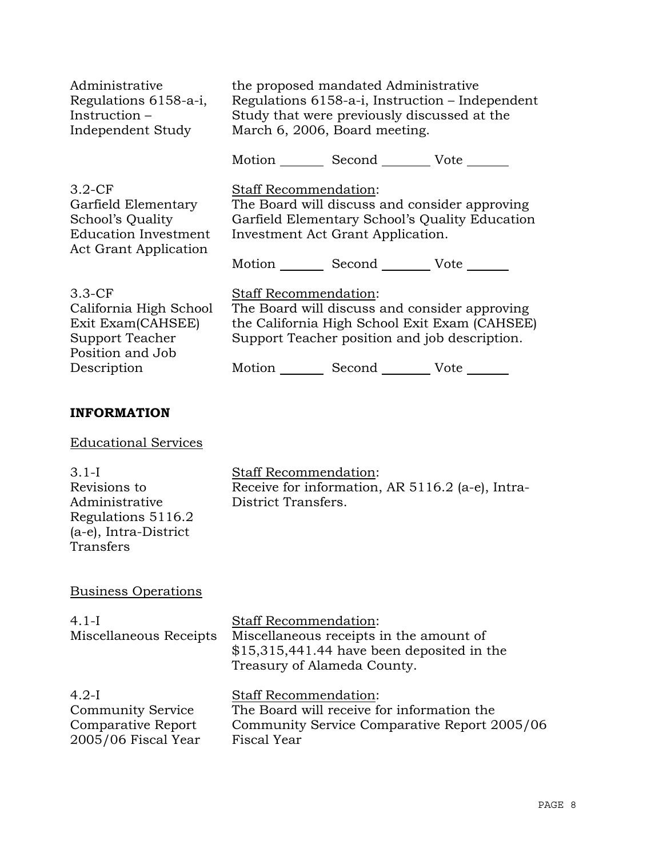| Administrative                                                                                                | the proposed mandated Administrative                                                                                                                                                                  |  |
|---------------------------------------------------------------------------------------------------------------|-------------------------------------------------------------------------------------------------------------------------------------------------------------------------------------------------------|--|
| Regulations 6158-a-i,                                                                                         | Regulations 6158-a-i, Instruction – Independent                                                                                                                                                       |  |
| Instruction $-$                                                                                               | Study that were previously discussed at the                                                                                                                                                           |  |
| Independent Study                                                                                             | March 6, 2006, Board meeting.                                                                                                                                                                         |  |
|                                                                                                               | Motion _________ Second __________ Vote _______                                                                                                                                                       |  |
| $3.2-CF$                                                                                                      | Staff Recommendation:                                                                                                                                                                                 |  |
| Garfield Elementary                                                                                           | The Board will discuss and consider approving                                                                                                                                                         |  |
| School's Quality                                                                                              | Garfield Elementary School's Quality Education                                                                                                                                                        |  |
| <b>Education Investment</b>                                                                                   | Investment Act Grant Application.                                                                                                                                                                     |  |
| Act Grant Application                                                                                         | Motion Second Vote                                                                                                                                                                                    |  |
| $3.3-CF$<br>California High School<br>Exit Exam(CAHSEE)<br>Support Teacher<br>Position and Job<br>Description | <b>Staff Recommendation:</b><br>The Board will discuss and consider approving<br>the California High School Exit Exam (CAHSEE)<br>Support Teacher position and job description.<br>Motion Second Vote |  |

# **INFORMATION**

# Educational Services

# Business Operations

| $4.1-I$<br>Miscellaneous Receipts | <b>Staff Recommendation:</b><br>Miscellaneous receipts in the amount of<br>$$15,315,441.44$ have been deposited in the<br>Treasury of Alameda County. |
|-----------------------------------|-------------------------------------------------------------------------------------------------------------------------------------------------------|
| $4.2-I$                           | <b>Staff Recommendation:</b>                                                                                                                          |
| <b>Community Service</b>          | The Board will receive for information the                                                                                                            |
| Comparative Report                | Community Service Comparative Report 2005/06                                                                                                          |
| 2005/06 Fiscal Year               | Fiscal Year                                                                                                                                           |